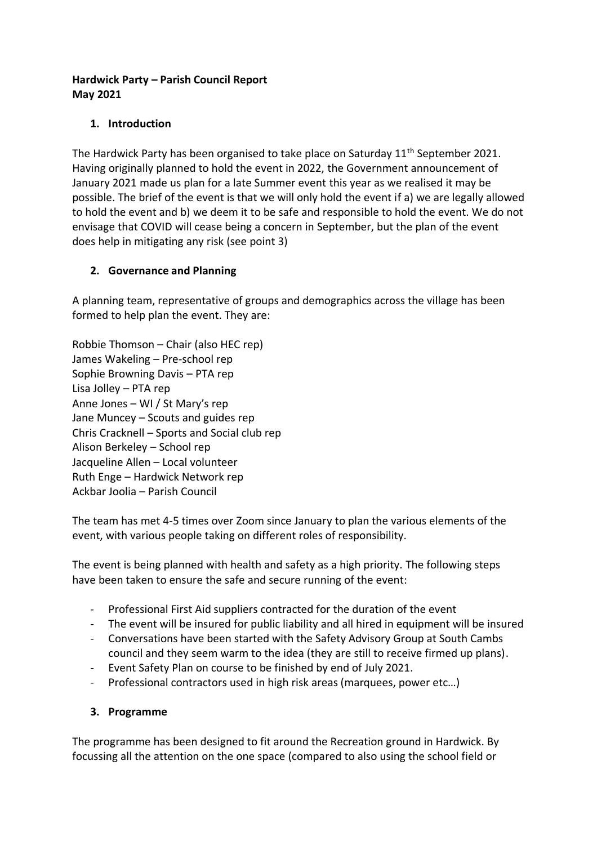### **Hardwick Party – Parish Council Report May 2021**

# **1. Introduction**

The Hardwick Party has been organised to take place on Saturday 11<sup>th</sup> September 2021. Having originally planned to hold the event in 2022, the Government announcement of January 2021 made us plan for a late Summer event this year as we realised it may be possible. The brief of the event is that we will only hold the event if a) we are legally allowed to hold the event and b) we deem it to be safe and responsible to hold the event. We do not envisage that COVID will cease being a concern in September, but the plan of the event does help in mitigating any risk (see point 3)

## **2. Governance and Planning**

A planning team, representative of groups and demographics across the village has been formed to help plan the event. They are:

Robbie Thomson – Chair (also HEC rep) James Wakeling – Pre-school rep Sophie Browning Davis – PTA rep Lisa Jolley – PTA rep Anne Jones – WI / St Mary's rep Jane Muncey – Scouts and guides rep Chris Cracknell – Sports and Social club rep Alison Berkeley – School rep Jacqueline Allen – Local volunteer Ruth Enge – Hardwick Network rep Ackbar Joolia – Parish Council

The team has met 4-5 times over Zoom since January to plan the various elements of the event, with various people taking on different roles of responsibility.

The event is being planned with health and safety as a high priority. The following steps have been taken to ensure the safe and secure running of the event:

- Professional First Aid suppliers contracted for the duration of the event
- The event will be insured for public liability and all hired in equipment will be insured
- Conversations have been started with the Safety Advisory Group at South Cambs council and they seem warm to the idea (they are still to receive firmed up plans).
- Event Safety Plan on course to be finished by end of July 2021.
- Professional contractors used in high risk areas (marquees, power etc…)

#### **3. Programme**

The programme has been designed to fit around the Recreation ground in Hardwick. By focussing all the attention on the one space (compared to also using the school field or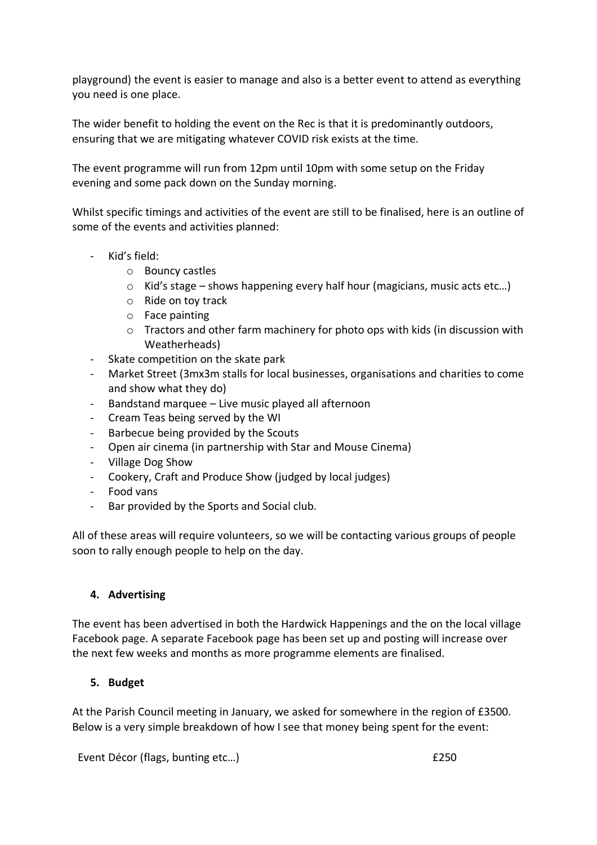playground) the event is easier to manage and also is a better event to attend as everything you need is one place.

The wider benefit to holding the event on the Rec is that it is predominantly outdoors, ensuring that we are mitigating whatever COVID risk exists at the time.

The event programme will run from 12pm until 10pm with some setup on the Friday evening and some pack down on the Sunday morning.

Whilst specific timings and activities of the event are still to be finalised, here is an outline of some of the events and activities planned:

- Kid's field:
	- o Bouncy castles
	- $\circ$  Kid's stage shows happening every half hour (magicians, music acts etc...)
	- o Ride on toy track
	- o Face painting
	- o Tractors and other farm machinery for photo ops with kids (in discussion with Weatherheads)
- Skate competition on the skate park
- Market Street (3mx3m stalls for local businesses, organisations and charities to come and show what they do)
- Bandstand marquee Live music played all afternoon
- Cream Teas being served by the WI
- Barbecue being provided by the Scouts
- Open air cinema (in partnership with Star and Mouse Cinema)
- Village Dog Show
- Cookery, Craft and Produce Show (judged by local judges)
- Food vans
- Bar provided by the Sports and Social club.

All of these areas will require volunteers, so we will be contacting various groups of people soon to rally enough people to help on the day.

#### **4. Advertising**

The event has been advertised in both the Hardwick Happenings and the on the local village Facebook page. A separate Facebook page has been set up and posting will increase over the next few weeks and months as more programme elements are finalised.

#### **5. Budget**

At the Parish Council meeting in January, we asked for somewhere in the region of £3500. Below is a very simple breakdown of how I see that money being spent for the event:

Event Décor (flags, bunting etc...) **EXECO EXECO EXECUTE:**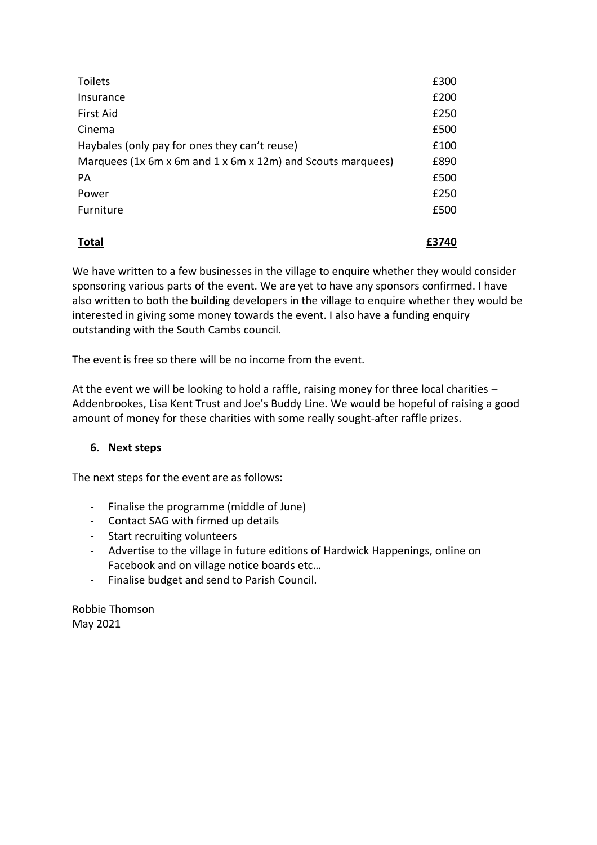| <b>Toilets</b>                                              | £300 |
|-------------------------------------------------------------|------|
| Insurance                                                   | £200 |
| <b>First Aid</b>                                            | £250 |
| Cinema                                                      | £500 |
| Haybales (only pay for ones they can't reuse)               | £100 |
| Marquees (1x 6m x 6m and 1 x 6m x 12m) and Scouts marquees) | £890 |
| PA                                                          | £500 |
| Power                                                       | £250 |
| Furniture                                                   | £500 |
|                                                             |      |

**Total £3740**

We have written to a few businesses in the village to enquire whether they would consider sponsoring various parts of the event. We are yet to have any sponsors confirmed. I have also written to both the building developers in the village to enquire whether they would be interested in giving some money towards the event. I also have a funding enquiry outstanding with the South Cambs council.

The event is free so there will be no income from the event.

At the event we will be looking to hold a raffle, raising money for three local charities – Addenbrookes, Lisa Kent Trust and Joe's Buddy Line. We would be hopeful of raising a good amount of money for these charities with some really sought-after raffle prizes.

# **6. Next steps**

The next steps for the event are as follows:

- Finalise the programme (middle of June)
- Contact SAG with firmed up details
- Start recruiting volunteers
- Advertise to the village in future editions of Hardwick Happenings, online on Facebook and on village notice boards etc…
- Finalise budget and send to Parish Council.

Robbie Thomson May 2021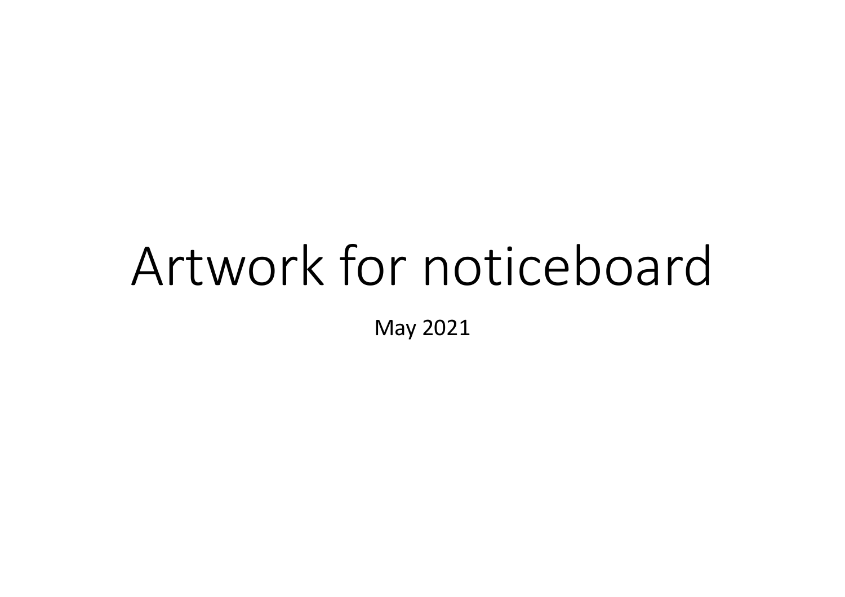# Artwork for noticeboard

May 2021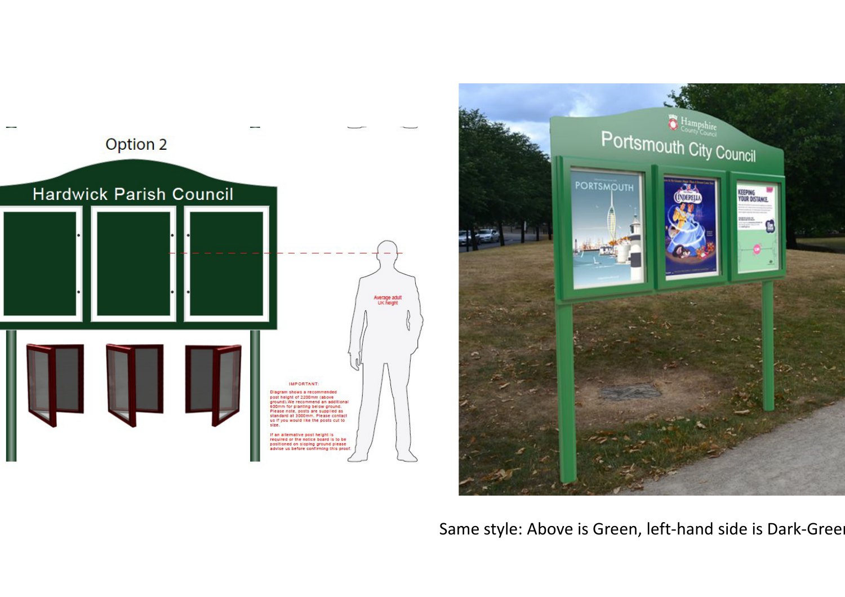



Same style: Above is Green, left-hand side is Dark-Green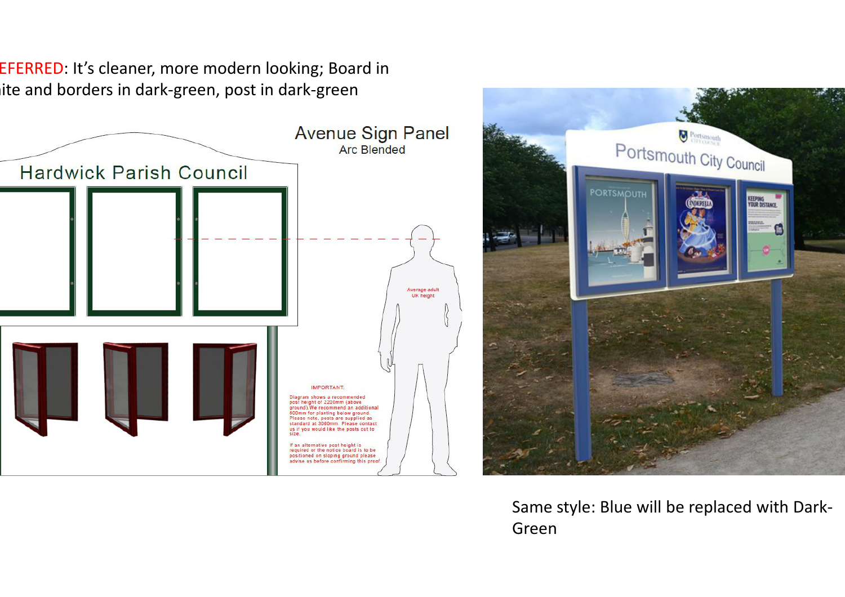EFERRED: It's cleaner, more modern looking; Board in ite and borders in dark-green, post in dark-green





Same style: Blue will be replaced with Dark-Green